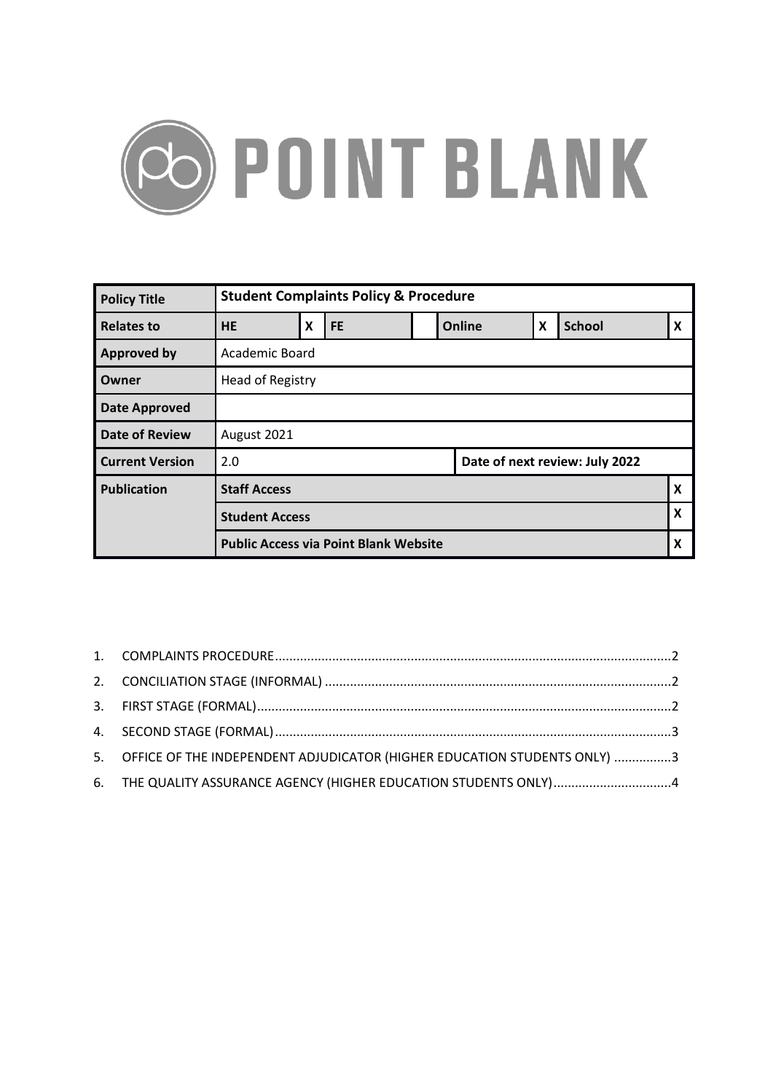

| <b>Policy Title</b>    | <b>Student Complaints Policy &amp; Procedure</b> |                           |           |  |        |   |               |                           |  |
|------------------------|--------------------------------------------------|---------------------------|-----------|--|--------|---|---------------|---------------------------|--|
| <b>Relates to</b>      | <b>HE</b>                                        | $\boldsymbol{\mathsf{X}}$ | <b>FE</b> |  | Online | X | <b>School</b> | $\boldsymbol{\mathsf{x}}$ |  |
| <b>Approved by</b>     | Academic Board                                   |                           |           |  |        |   |               |                           |  |
| Owner                  | Head of Registry                                 |                           |           |  |        |   |               |                           |  |
| <b>Date Approved</b>   |                                                  |                           |           |  |        |   |               |                           |  |
| <b>Date of Review</b>  | August 2021                                      |                           |           |  |        |   |               |                           |  |
| <b>Current Version</b> | 2.0<br>Date of next review: July 2022            |                           |           |  |        |   |               |                           |  |
| <b>Publication</b>     | <b>Staff Access</b>                              |                           |           |  |        |   |               | $\boldsymbol{\mathsf{x}}$ |  |
|                        | <b>Student Access</b>                            |                           |           |  |        |   |               | X                         |  |
|                        | <b>Public Access via Point Blank Website</b>     |                           |           |  |        |   |               | X                         |  |

| 5. OFFICE OF THE INDEPENDENT ADJUDICATOR (HIGHER EDUCATION STUDENTS ONLY) 3 |  |
|-----------------------------------------------------------------------------|--|
| 6. THE QUALITY ASSURANCE AGENCY (HIGHER EDUCATION STUDENTS ONLY)4           |  |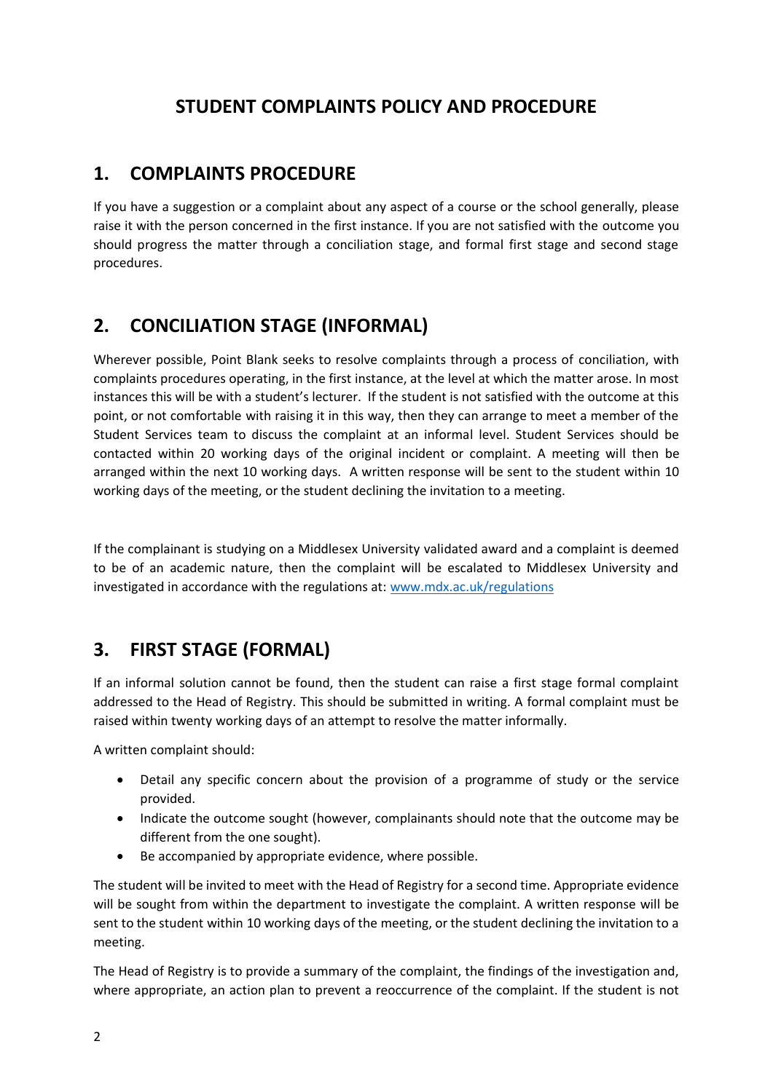#### **STUDENT COMPLAINTS POLICY AND PROCEDURE**

#### <span id="page-1-0"></span>**1. COMPLAINTS PROCEDURE**

If you have a suggestion or a complaint about any aspect of a course or the school generally, please raise it with the person concerned in the first instance. If you are not satisfied with the outcome you should progress the matter through a conciliation stage, and formal first stage and second stage procedures.

#### <span id="page-1-1"></span>**2. CONCILIATION STAGE (INFORMAL)**

Wherever possible, Point Blank seeks to resolve complaints through a process of conciliation, with complaints procedures operating, in the first instance, at the level at which the matter arose. In most instances this will be with a student's lecturer. If the student is not satisfied with the outcome at this point, or not comfortable with raising it in this way, then they can arrange to meet a member of the Student Services team to discuss the complaint at an informal level. Student Services should be contacted within 20 working days of the original incident or complaint. A meeting will then be arranged within the next 10 working days. A written response will be sent to the student within 10 working days of the meeting, or the student declining the invitation to a meeting.

If the complainant is studying on a Middlesex University validated award and a complaint is deemed to be of an academic nature, then the complaint will be escalated to Middlesex University and investigated in accordance with the regulations at: [www.mdx.ac.uk/regulations](http://www.mdx.ac.uk/regulations)

### <span id="page-1-2"></span>**3. FIRST STAGE (FORMAL)**

If an informal solution cannot be found, then the student can raise a first stage formal complaint addressed to the Head of Registry. This should be submitted in writing. A formal complaint must be raised within twenty working days of an attempt to resolve the matter informally.

A written complaint should:

- Detail any specific concern about the provision of a programme of study or the service provided.
- Indicate the outcome sought (however, complainants should note that the outcome may be different from the one sought).
- Be accompanied by appropriate evidence, where possible.

The student will be invited to meet with the Head of Registry for a second time. Appropriate evidence will be sought from within the department to investigate the complaint. A written response will be sent to the student within 10 working days of the meeting, or the student declining the invitation to a meeting.

The Head of Registry is to provide a summary of the complaint, the findings of the investigation and, where appropriate, an action plan to prevent a reoccurrence of the complaint. If the student is not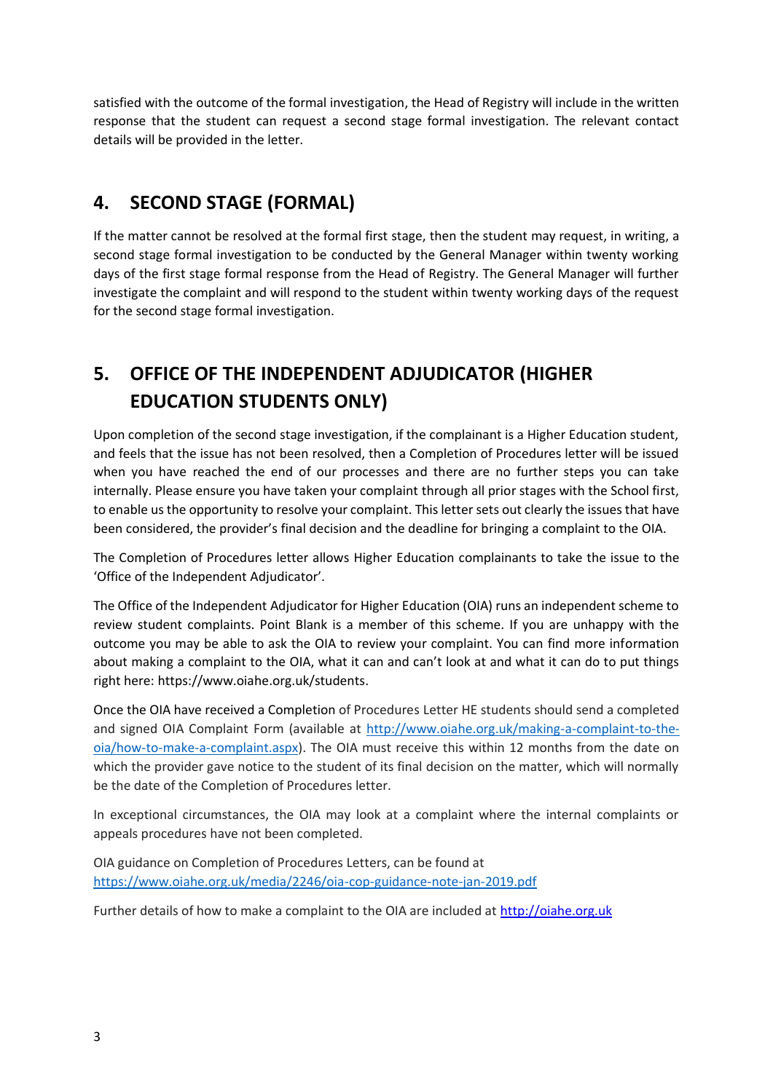satisfied with the outcome of the formal investigation, the Head of Registry will include in the written response that the student can request a second stage formal investigation. The relevant contact details will be provided in the letter.

#### <span id="page-2-0"></span>**4. SECOND STAGE (FORMAL)**

If the matter cannot be resolved at the formal first stage, then the student may request, in writing, a second stage formal investigation to be conducted by the General Manager within twenty working days of the first stage formal response from the Head of Registry. The General Manager will further investigate the complaint and will respond to the student within twenty working days of the request for the second stage formal investigation.

## <span id="page-2-1"></span>**5. OFFICE OF THE INDEPENDENT ADJUDICATOR (HIGHER EDUCATION STUDENTS ONLY)**

Upon completion of the second stage investigation, if the complainant is a Higher Education student, and feels that the issue has not been resolved, then a Completion of Procedures letter will be issued when you have reached the end of our processes and there are no further steps you can take internally. Please ensure you have taken your complaint through all prior stages with the School first, to enable us the opportunity to resolve your complaint. This letter sets out clearly the issues that have been considered, the provider's final decision and the deadline for bringing a complaint to the OIA.

The Completion of Procedures letter allows Higher Education complainants to take the issue to the 'Office of the Independent Adjudicator'.

The Office of the Independent Adjudicator for Higher Education (OIA) runs an independent scheme to review student complaints. Point Blank is a member of this scheme. If you are unhappy with the outcome you may be able to ask the OIA to review your complaint. You can find more information about making a complaint to the OIA, what it can and can't look at and what it can do to put things right here: [https://www.oiahe.org.uk/students.](https://www.oiahe.org.uk/students/)

Once the OIA have received a Completion of Procedures Letter HE students should send a completed and signed OIA Complaint Form (available at [http://www.oiahe.org.uk/making-a-complaint-to-the](http://www.oiahe.org.uk/making-a-complaint-to-the-oia/how-to-make-a-complaint.aspx)[oia/how-to-make-a-complaint.aspx\)](http://www.oiahe.org.uk/making-a-complaint-to-the-oia/how-to-make-a-complaint.aspx). The OIA must receive this within 12 months from the date on which the provider gave notice to the student of its final decision on the matter, which will normally be the date of the Completion of Procedures letter.

In exceptional circumstances, the OIA may look at a complaint where the internal complaints or appeals procedures have not been completed.

OIA guidance on Completion of Procedures Letters, can be found at <https://www.oiahe.org.uk/media/2246/oia-cop-guidance-note-jan-2019.pdf>

Further details of how to make a complaint to the OIA are included at [http://oiahe.org.uk](http://oiahe.org.uk/)